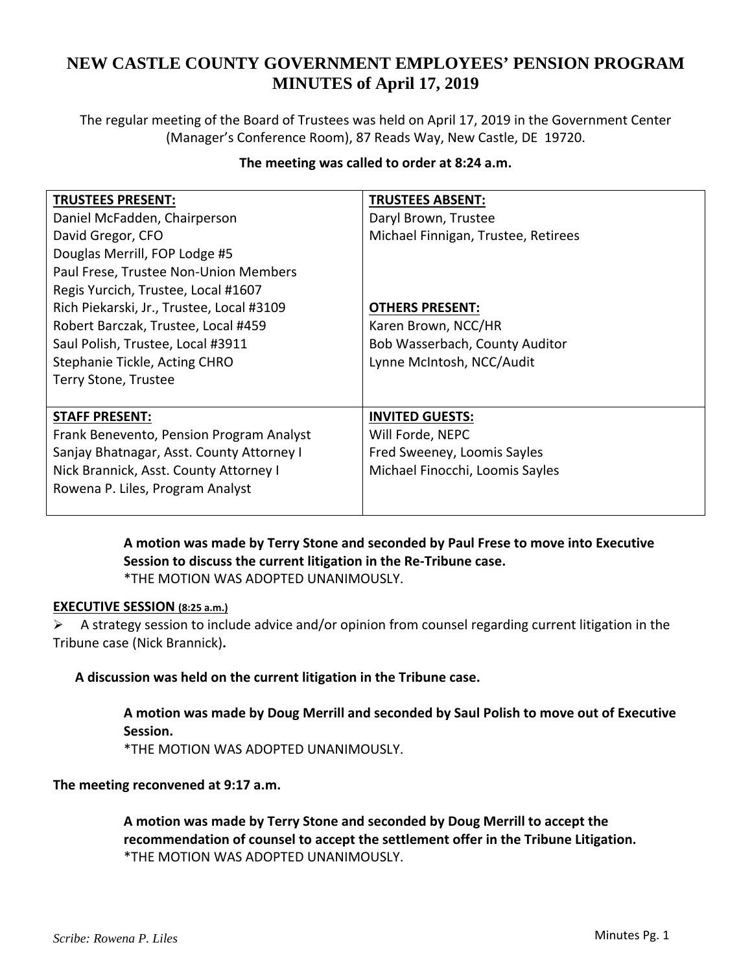# **NEW CASTLE COUNTY GOVERNMENT EMPLOYEES' PENSION PROGRAM MINUTES of April 17, 2019**

The regular meeting of the Board of Trustees was held on April 17, 2019 in the Government Center (Manager's Conference Room), 87 Reads Way, New Castle, DE 19720.

## **The meeting was called to order at 8:24 a.m.**

| <b>TRUSTEES PRESENT:</b>                  | <b>TRUSTEES ABSENT:</b>             |
|-------------------------------------------|-------------------------------------|
| Daniel McFadden, Chairperson              | Daryl Brown, Trustee                |
| David Gregor, CFO                         | Michael Finnigan, Trustee, Retirees |
| Douglas Merrill, FOP Lodge #5             |                                     |
| Paul Frese, Trustee Non-Union Members     |                                     |
| Regis Yurcich, Trustee, Local #1607       |                                     |
| Rich Piekarski, Jr., Trustee, Local #3109 | <b>OTHERS PRESENT:</b>              |
| Robert Barczak, Trustee, Local #459       | Karen Brown, NCC/HR                 |
| Saul Polish, Trustee, Local #3911         | Bob Wasserbach, County Auditor      |
| Stephanie Tickle, Acting CHRO             | Lynne McIntosh, NCC/Audit           |
| Terry Stone, Trustee                      |                                     |
|                                           |                                     |
| <b>STAFF PRESENT:</b>                     | <b>INVITED GUESTS:</b>              |
| Frank Benevento, Pension Program Analyst  | Will Forde, NEPC                    |
| Sanjay Bhatnagar, Asst. County Attorney I | Fred Sweeney, Loomis Sayles         |
| Nick Brannick, Asst. County Attorney I    | Michael Finocchi, Loomis Sayles     |
| Rowena P. Liles, Program Analyst          |                                     |
|                                           |                                     |

**A motion was made by Terry Stone and seconded by Paul Frese to move into Executive Session to discuss the current litigation in the Re‐Tribune case.**  \*THE MOTION WAS ADOPTED UNANIMOUSLY.

#### **EXECUTIVE SESSION (8:25 a.m.)**

 $\triangleright$  A strategy session to include advice and/or opinion from counsel regarding current litigation in the Tribune case (Nick Brannick)**.**

**A discussion was held on the current litigation in the Tribune case.**

**A motion was made by Doug Merrill and seconded by Saul Polish to move out of Executive Session.** 

\*THE MOTION WAS ADOPTED UNANIMOUSLY.

### **The meeting reconvened at 9:17 a.m.**

**A motion was made by Terry Stone and seconded by Doug Merrill to accept the recommendation of counsel to accept the settlement offer in the Tribune Litigation.** \*THE MOTION WAS ADOPTED UNANIMOUSLY.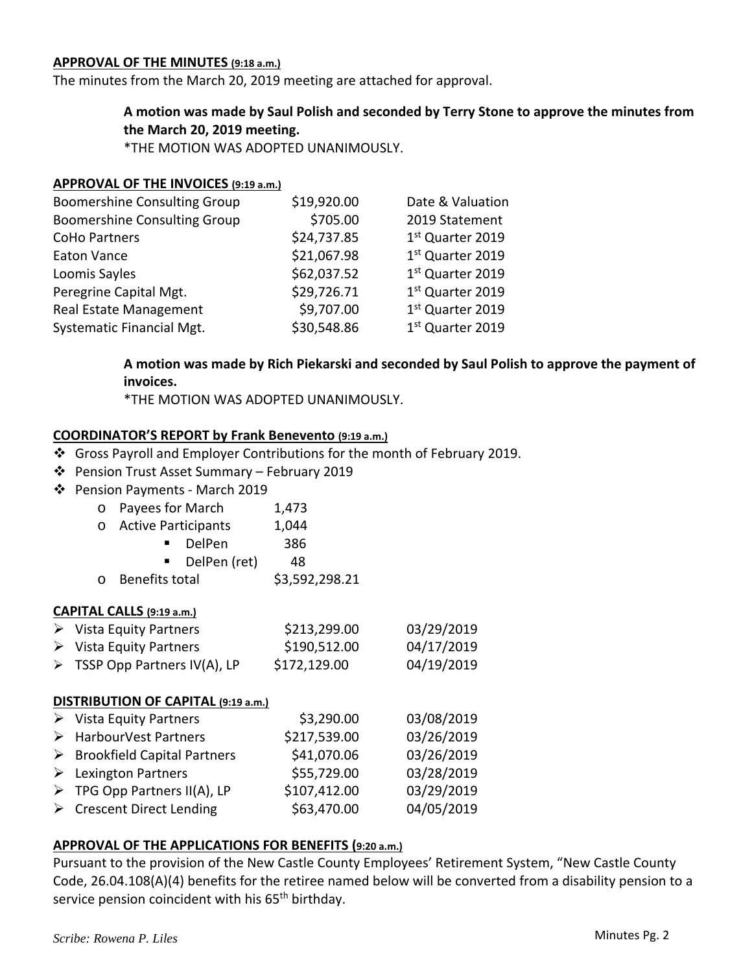#### **APPROVAL OF THE MINUTES (9:18 a.m.)**

The minutes from the March 20, 2019 meeting are attached for approval.

# **A motion was made by Saul Polish and seconded by Terry Stone to approve the minutes from the March 20, 2019 meeting.**

\*THE MOTION WAS ADOPTED UNANIMOUSLY.

### **APPROVAL OF THE INVOICES (9:19 a.m.)**

|             | Date & Valuation             |  |
|-------------|------------------------------|--|
| \$705.00    | 2019 Statement               |  |
| \$24,737.85 | 1st Quarter 2019             |  |
| \$21,067.98 | 1st Quarter 2019             |  |
| \$62,037.52 | 1st Quarter 2019             |  |
| \$29,726.71 | 1st Quarter 2019             |  |
| \$9,707.00  | 1st Quarter 2019             |  |
| \$30,548.86 | 1 <sup>st</sup> Quarter 2019 |  |
|             | \$19,920.00                  |  |

# **A motion was made by Rich Piekarski and seconded by Saul Polish to approve the payment of invoices.**

\*THE MOTION WAS ADOPTED UNANIMOUSLY.

### **COORDINATOR'S REPORT by Frank Benevento (9:19 a.m.)**

- Gross Payroll and Employer Contributions for the month of February 2019.
- Pension Trust Asset Summary February 2019
- Pension Payments ‐ March 2019

| o Payees for March | 1,473 |
|--------------------|-------|
|--------------------|-------|

| O | <b>Active Participants</b> | 1,044 |
|---|----------------------------|-------|
|---|----------------------------|-------|

- DelPen 386
	- $\blacksquare$  DelPen (ret) 48
- $\circ$  Benefits total  $\qquad$  \$3,592,298.21

### **CAPITAL CALLS (9:19 a.m.)**

| $\triangleright$ Vista Equity Partners       | \$213,299.00 | 03/29/2019 |
|----------------------------------------------|--------------|------------|
| $\triangleright$ Vista Equity Partners       | \$190,512.00 | 04/17/2019 |
| $\triangleright$ TSSP Opp Partners IV(A), LP | \$172,129.00 | 04/19/2019 |

### **DISTRIBUTION OF CAPITAL (9:19 a.m.)**

| $\triangleright$ Vista Equity Partners       | \$3,290.00   | 03/08/2019 |
|----------------------------------------------|--------------|------------|
| > HarbourVest Partners                       | \$217,539.00 | 03/26/2019 |
| $\triangleright$ Brookfield Capital Partners | \$41,070.06  | 03/26/2019 |
| $\triangleright$ Lexington Partners          | \$55,729.00  | 03/28/2019 |
| $\triangleright$ TPG Opp Partners II(A), LP  | \$107,412.00 | 03/29/2019 |
| $\triangleright$ Crescent Direct Lending     | \$63,470.00  | 04/05/2019 |

### **APPROVAL OF THE APPLICATIONS FOR BENEFITS (9:20 a.m.)**

Pursuant to the provision of the New Castle County Employees' Retirement System, "New Castle County Code, 26.04.108(A)(4) benefits for the retiree named below will be converted from a disability pension to a service pension coincident with his 65<sup>th</sup> birthday.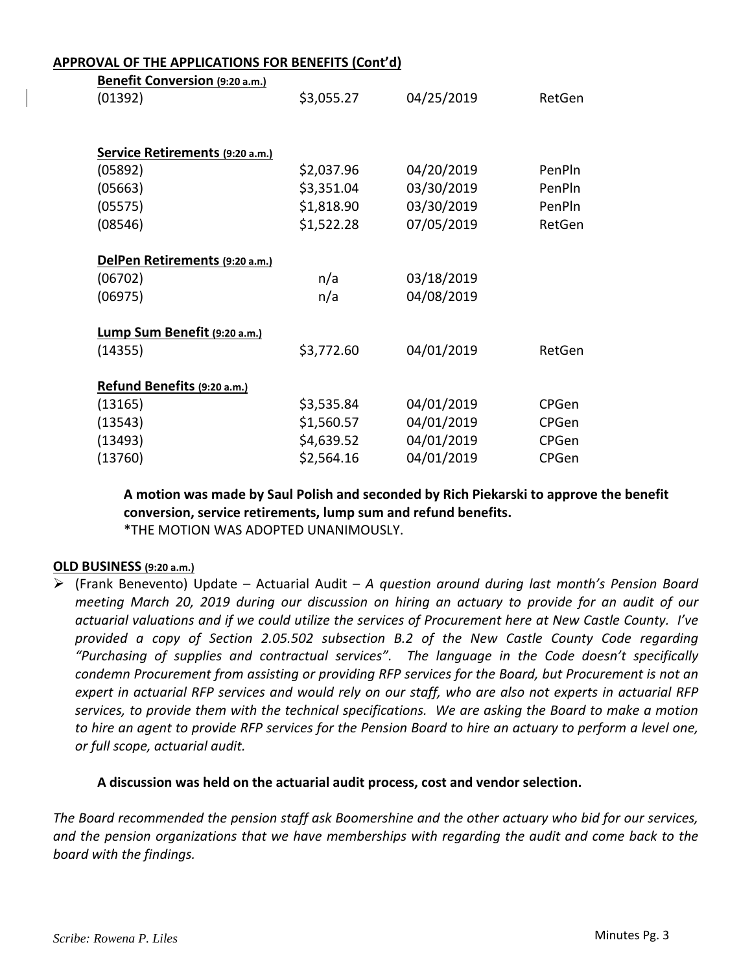#### **APPROVAL OF THE APPLICATIONS FOR BENEFITS (Cont'd)**

| Benefit Conversion (9:20 a.m.)  |            |            |              |
|---------------------------------|------------|------------|--------------|
| (01392)                         | \$3,055.27 | 04/25/2019 | RetGen       |
|                                 |            |            |              |
|                                 |            |            |              |
| Service Retirements (9:20 a.m.) |            |            |              |
| (05892)                         | \$2,037.96 | 04/20/2019 | PenPln       |
| (05663)                         | \$3,351.04 | 03/30/2019 | PenPln       |
| (05575)                         | \$1,818.90 | 03/30/2019 | PenPln       |
| (08546)                         | \$1,522.28 | 07/05/2019 | RetGen       |
|                                 |            |            |              |
| DelPen Retirements (9:20 a.m.)  |            |            |              |
| (06702)                         | n/a        | 03/18/2019 |              |
| (06975)                         | n/a        | 04/08/2019 |              |
|                                 |            |            |              |
| Lump Sum Benefit (9:20 a.m.)    |            |            |              |
| (14355)                         | \$3,772.60 | 04/01/2019 | RetGen       |
|                                 |            |            |              |
| Refund Benefits (9:20 a.m.)     |            |            |              |
| (13165)                         | \$3,535.84 | 04/01/2019 | <b>CPGen</b> |
| (13543)                         | \$1,560.57 | 04/01/2019 | CPGen        |
| (13493)                         | \$4,639.52 | 04/01/2019 | CPGen        |
| (13760)                         | \$2,564.16 | 04/01/2019 | CPGen        |

**A motion was made by Saul Polish and seconded by Rich Piekarski to approve the benefit conversion, service retirements, lump sum and refund benefits.**

\*THE MOTION WAS ADOPTED UNANIMOUSLY.

### **OLD BUSINESS (9:20 a.m.)**

 (Frank Benevento) Update – Actuarial Audit – *A question around during last month's Pension Board meeting March 20, 2019 during our discussion on hiring an actuary to provide for an audit of our* actuarial valuations and if we could utilize the services of Procurement here at New Castle County. I've *provided a copy of Section 2.05.502 subsection B.2 of the New Castle County Code regarding "Purchasing of supplies and contractual services". The language in the Code doesn't specifically condemn Procurement from assisting or providing RFP services for the Board, but Procurement is not an* expert in actuarial RFP services and would rely on our staff, who are also not experts in actuarial RFP services, to provide them with the technical specifications. We are asking the Board to make a motion to hire an agent to provide RFP services for the Pension Board to hire an actuary to perform a level one, *or full scope, actuarial audit.*

#### **A discussion was held on the actuarial audit process, cost and vendor selection.**

*The Board recommended the pension staff ask Boomershine and the other actuary who bid for our services, and the pension organizations that we have memberships with regarding the audit and come back to the board with the findings.*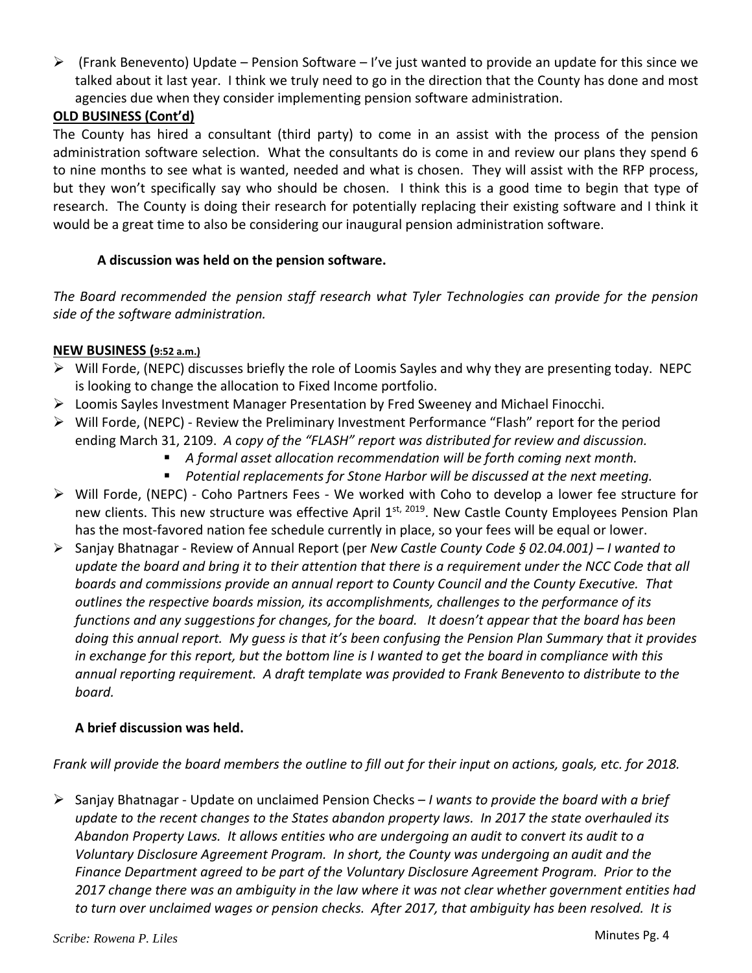$\triangleright$  (Frank Benevento) Update – Pension Software – I've just wanted to provide an update for this since we talked about it last year. I think we truly need to go in the direction that the County has done and most agencies due when they consider implementing pension software administration.

# **OLD BUSINESS (Cont'd)**

The County has hired a consultant (third party) to come in an assist with the process of the pension administration software selection. What the consultants do is come in and review our plans they spend 6 to nine months to see what is wanted, needed and what is chosen. They will assist with the RFP process, but they won't specifically say who should be chosen. I think this is a good time to begin that type of research. The County is doing their research for potentially replacing their existing software and I think it would be a great time to also be considering our inaugural pension administration software.

# **A discussion was held on the pension software.**

*The Board recommended the pension staff research what Tyler Technologies can provide for the pension side of the software administration.*

# **NEW BUSINESS (9:52 a.m.)**

- $\triangleright$  Will Forde, (NEPC) discusses briefly the role of Loomis Sayles and why they are presenting today. NEPC is looking to change the allocation to Fixed Income portfolio.
- Loomis Sayles Investment Manager Presentation by Fred Sweeney and Michael Finocchi.
- $\triangleright$  Will Forde, (NEPC) Review the Preliminary Investment Performance "Flash" report for the period ending March 31, 2109. *A copy of the "FLASH" report was distributed for review and discussion.*
	- *A formal asset allocation recommendation will be forth coming next month.*
	- *Potential replacements for Stone Harbor will be discussed at the next meeting.*
- Will Forde, (NEPC) ‐ Coho Partners Fees ‐ We worked with Coho to develop a lower fee structure for new clients. This new structure was effective April 1st, 2019. New Castle County Employees Pension Plan has the most-favored nation fee schedule currently in place, so your fees will be equal or lower.
- Sanjay Bhatnagar ‐ Review of Annual Report (per *New Castle County Code § 02.04.001) – I wanted to* update the board and bring it to their attention that there is a requirement under the NCC Code that all *boards and commissions provide an annual report to County Council and the County Executive. That outlines the respective boards mission, its accomplishments, challenges to the performance of its* functions and any suggestions for changes, for the board. It doesn't appear that the board has been doing this annual report. My quess is that it's been confusing the Pension Plan Summary that it provides in exchange for this report, but the bottom line is I wanted to get the board in compliance with this *annual reporting requirement. A draft template was provided to Frank Benevento to distribute to the board.*

# **A brief discussion was held.**

Frank will provide the board members the outline to fill out for their input on actions, goals, etc. for 2018.

 Sanjay Bhatnagar ‐ Update on unclaimed Pension Checks – *I wants to provide the board with a brief* update to the recent changes to the States abandon property laws. In 2017 the state overhauled its *Abandon Property Laws. It allows entities who are undergoing an audit to convert its audit to a Voluntary Disclosure Agreement Program. In short, the County was undergoing an audit and the Finance Department agreed to be part of the Voluntary Disclosure Agreement Program. Prior to the* 2017 change there was an ambiguity in the law where it was not clear whether government entities had to turn over unclaimed wages or pension checks. After 2017, that ambiguity has been resolved. It is